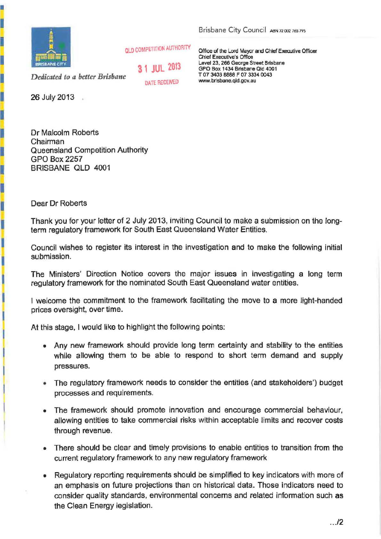

**QLD COMPETITION AUTHORITY** 

*Dedicated to a better Brisbane* 

**31 JUL** <sup>2013</sup> DATE RECEIVED

26 July 2013

Dr Malcolm Roberts Chairman Queensland Competition Authority GPO Box2257 BRISBANE QLD 4001

Brisbane City Council ABN 72 002 765 795

Office of the Lord Mayor and Chief Executive Officer Chief Executive's Office Level 23, 266 George Street Brisbane GPO Box 1434 Brisbane Old 4001 T 07 3403 8888 F 07 3334 0043 www. brisbane.qld.gov .au

Dear Dr Roberts

I

I

İ

I

İ

I

Ī

I

j

İ

Thank you for your letter of 2 July 2013, inviting Council to make a submission on the longterm regulatory framework for South East Queensland Water Entities.

Council wishes to register its interest in the investigation and to make the following initial submission.

The Ministers' Direction Notice covers the major issues in investigating a long term regulatory framework for the nominated South East Queensland water entities.

I welcome the commitment to the framework facilitating the move to a more light-handed prices oversight, over time.

At this stage, I would like to highlight the following points:

- Any new framework should provide long term certainty and stability to the entities while allowing them to be able to respond to short term demand and supply pressures.
- The regulatory framework needs to consider the entities (and stakeholders') budget processes and requirements.
- The framework should promote innovation and encourage commercial behaviour, allowing entities to take commercial risks within acceptable limits and recover costs through revenue.
- There should be clear and timely provisions to enable entities to transition from the current regulatory framework to any new regulatory framework
- Regulatory reporting requirements should be simplified to key indicators with more of an emphasis on future projections than on historical data. Those indicators need to consider quality standards, environmental concerns and related infonnation such as the Clean Energy legislation.